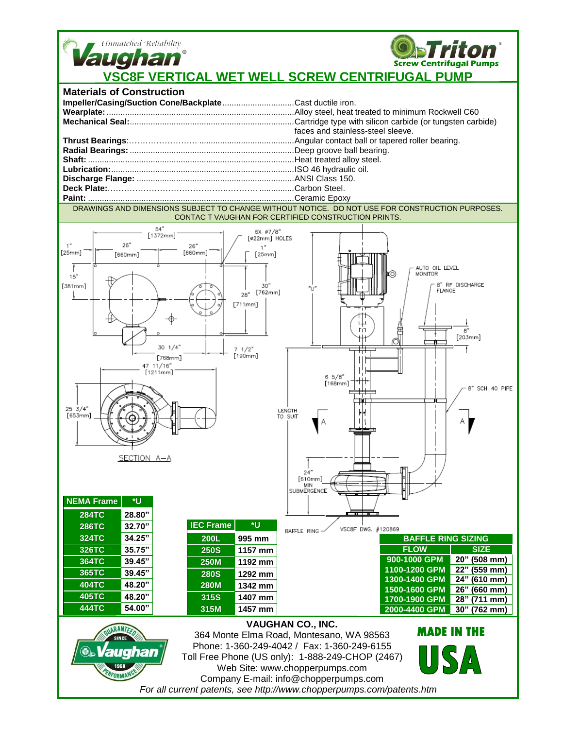